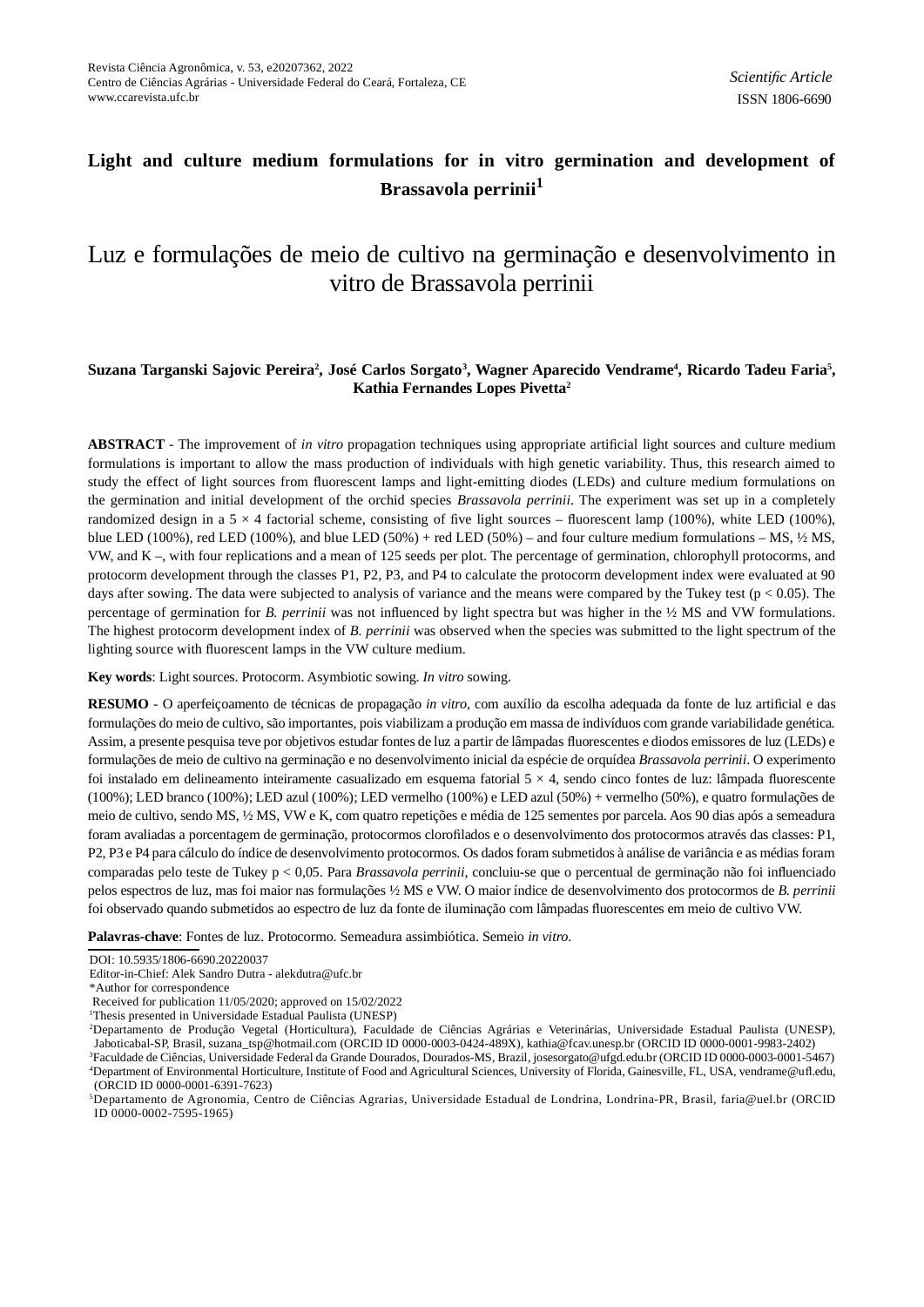## **Light and culture medium formulations for in vitro germination and development of Brassavola perrinii<sup>1</sup>**

# Luz e formulações de meio de cultivo na germinação e desenvolvimento in vitro de Brassavola perrinii

## **Suzana Targanski Sajovic Pereira<sup>2</sup> , José Carlos Sorgato<sup>3</sup> , Wagner Aparecido Vendrame<sup>4</sup> , Ricardo Tadeu Faria<sup>5</sup> , Kathia Fernandes Lopes Pivetta<sup>2</sup>**

**ABSTRACT** - The improvement of *in vitro* propagation techniques using appropriate artificial light sources and culture medium formulations is important to allow the mass production of individuals with high genetic variability. Thus, this research aimed to study the effect of light sources from fluorescent lamps and light-emitting diodes (LEDs) and culture medium formulations on the germination and initial development of the orchid species *Brassavola perrinii*. The experiment was set up in a completely randomized design in a  $5 \times 4$  factorial scheme, consisting of five light sources – fluorescent lamp (100%), white LED (100%), blue LED (100%), red LED (100%), and blue LED (50%) + red LED (50%) – and four culture medium formulations – MS,  $\frac{1}{2}$  MS, VW, and K –, with four replications and a mean of 125 seeds per plot. The percentage of germination, chlorophyll protocorms, and protocorm development through the classes P1, P2, P3, and P4 to calculate the protocorm development index were evaluated at 90 days after sowing. The data were subjected to analysis of variance and the means were compared by the Tukey test ( $p < 0.05$ ). The percentage of germination for *B. perrinii* was not influenced by light spectra but was higher in the <sup>1</sup>/<sub>2</sub> MS and VW formulations. The highest protocorm development index of *B. perrinii* was observed when the species was submitted to the light spectrum of the lighting source with fluorescent lamps in the VW culture medium.

**Key words**: Light sources. Protocorm. Asymbiotic sowing. *In vitro* sowing.

RESUMO - O aperfeiçoamento de técnicas de propagação *in vitro*, com auxílio da escolha adequada da fonte de luz artificial e das formulações do meio de cultivo, são importantes, pois viabilizam a produção em massa de indivíduos com grande variabilidade genética. Assim, a presente pesquisa teve por objetivos estudar fontes de luz a partir de lâmpadas fluorescentes e diodos emissores de luz (LEDs) e formulações de meio de cultivo na germinação e no desenvolvimento inicial da espécie de orquídea *Brassavola perrinii*. O experimento foi instalado em delineamento inteiramente casualizado em esquema fatorial  $5 \times 4$ , sendo cinco fontes de luz: lâmpada fluorescente (100%); LED branco (100%); LED azul (100%); LED vermelho (100%) e LED azul (50%) + vermelho (50%), e quatro formulações de meio de cultivo, sendo MS, ½ MS, VW e K, com quatro repetições e média de 125 sementes por parcela. Aos 90 dias após a semeadura foram avaliadas a porcentagem de germinação, protocormos clorofi lados e o desenvolvimento dos protocormos através das classes: P1, P2, P3 e P4 para cálculo do índice de desenvolvimento protocormos. Os dados foram submetidos à análise de variância e as médias foram comparadas pelo teste de Tukey p < 0,05. Para *Brassavola perrinii*, concluiu-se que o percentual de germinação não foi influenciado pelos espectros de luz, mas foi maior nas formulações ½ MS e VW. O maior índice de desenvolvimento dos protocormos de *B. perrinii* foi observado quando submetidos ao espectro de luz da fonte de iluminação com lâmpadas fluorescentes em meio de cultivo VW.

Palavras-chave: Fontes de luz. Protocormo. Semeadura assimbiótica. Semeio in vitro.

DOI: 10.5935/1806-6690.20220037

Editor-in-Chief: Alek Sandro Dutra - alekdutra@ufc.br

<sup>\*</sup>Author for correspondence

Received for publication 11/05/2020; approved on 15/02/2022

<sup>1</sup>Thesis presented in Universidade Estadual Paulista (UNESP)

<sup>2</sup>Departamento de Produção Vegetal (Horticultura), Faculdade de Ciências Agrárias e Veterinárias, Universidade Estadual Paulista (UNESP), Jaboticabal-SP, Brasil, suzana\_tsp@hotmail.com (ORCID ID 0000-0003-0424-489X), kathia@fcav.unesp.br (ORCID ID 0000-0001-9983-2402)

<sup>3</sup>Faculdade de Ciências, Universidade Federal da Grande Dourados, Dourados-MS, Brazil, josesorgato@ufgd.edu.br (ORCID ID 0000-0003-0001-5467) <sup>4</sup>Department of Environmental Horticulture, Institute of Food and Agricultural Sciences, University of Florida, Gainesville, FL, USA, vendrame@ufl .edu, (ORCID ID 0000-0001-6391-7623)

<sup>5</sup>Departamento de Agronomia, Centro de Ciências Agrarias, Universidade Estadual de Londrina, Londrina-PR, Brasil, faria@uel.br (ORCID ID 0000-0002-7595-1965)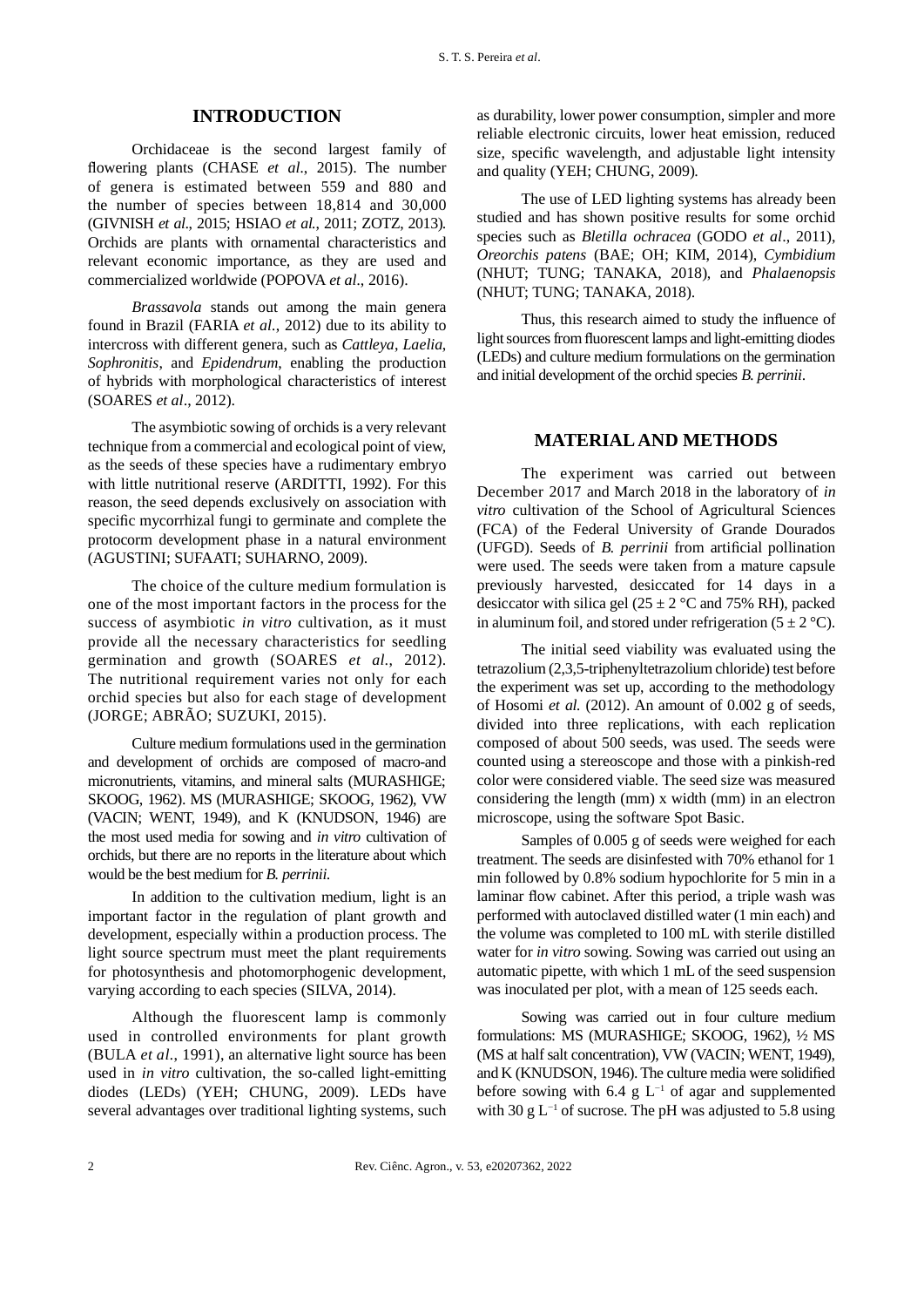## **INTRODUCTION**

Orchidaceae is the second largest family of flowering plants (CHASE *et al.*, 2015). The number of genera is estimated between 559 and 880 and the number of species between 18,814 and 30,000 (GIVNISH *et al*., 2015; HSIAO *et al.*, 2011; ZOTZ, 2013). Orchids are plants with ornamental characteristics and relevant economic importance, as they are used and commercialized worldwide (POPOVA *et al.*, 2016).

*Brassavola* stands out among the main genera found in Brazil (FARIA *et al.*, 2012) due to its ability to intercross with different genera, such as *Cattleya*, *Laelia*, *Sophronitis*, and *Epidendrum*, enabling the production of hybrids with morphological characteristics of interest (SOARES *et al*., 2012).

The asymbiotic sowing of orchids is a very relevant technique from a commercial and ecological point of view, as the seeds of these species have a rudimentary embryo with little nutritional reserve (ARDITTI, 1992). For this reason, the seed depends exclusively on association with specific mycorrhizal fungi to germinate and complete the protocorm development phase in a natural environment (AGUSTINI; SUFAATI; SUHARNO, 2009).

The choice of the culture medium formulation is one of the most important factors in the process for the success of asymbiotic *in vitro* cultivation, as it must provide all the necessary characteristics for seedling germination and growth (SOARES *et al*., 2012). The nutritional requirement varies not only for each orchid species but also for each stage of development (JORGE; ABRÃO; SUZUKI, 2015).

Culture medium formulations used in the germination and development of orchids are composed of macro-and micronutrients, vitamins, and mineral salts (MURASHIGE; SKOOG, 1962). MS (MURASHIGE; SKOOG, 1962), VW (VACIN; WENT, 1949), and K (KNUDSON, 1946) are the most used media for sowing and *in vitro* cultivation of orchids, but there are no reports in the literature about which would be the best medium for *B. perrinii*.

In addition to the cultivation medium, light is an important factor in the regulation of plant growth and development, especially within a production process. The light source spectrum must meet the plant requirements for photosynthesis and photomorphogenic development, varying according to each species (SILVA, 2014).

Although the fluorescent lamp is commonly used in controlled environments for plant growth (BULA *et al.*, 1991), an alternative light source has been used in *in vitro* cultivation, the so-called light-emitting diodes (LEDs) (YEH; CHUNG, 2009). LEDs have several advantages over traditional lighting systems, such

as durability, lower power consumption, simpler and more reliable electronic circuits, lower heat emission, reduced size, specific wavelength, and adjustable light intensity and quality (YEH; CHUNG, 2009).

The use of LED lighting systems has already been studied and has shown positive results for some orchid species such as *Bletilla ochracea* (GODO *et al*., 2011), *Oreorchis patens* (BAE; OH; KIM, 2014), *Cymbidium* (NHUT; TUNG; TANAKA, 2018), and *Phalaenopsis* (NHUT; TUNG; TANAKA, 2018).

Thus, this research aimed to study the influence of light sources from fluorescent lamps and light-emitting diodes (LEDs) and culture medium formulations on the germination and initial development of the orchid species *B. perrinii*.

#### **MATERIAL AND METHODS**

The experiment was carried out between December 2017 and March 2018 in the laboratory of *in vitro* cultivation of the School of Agricultural Sciences (FCA) of the Federal University of Grande Dourados (UFGD). Seeds of *B. perrinii* from artificial pollination were used. The seeds were taken from a mature capsule previously harvested, desiccated for 14 days in a desiccator with silica gel ( $25 \pm 2$  °C and 75% RH), packed in aluminum foil, and stored under refrigeration  $(5 \pm 2 \degree C)$ .

The initial seed viability was evaluated using the tetrazolium (2,3,5-triphenyltetrazolium chloride) test before the experiment was set up, according to the methodology of Hosomi *et al.* (2012). An amount of 0.002 g of seeds, divided into three replications, with each replication composed of about 500 seeds, was used. The seeds were counted using a stereoscope and those with a pinkish-red color were considered viable. The seed size was measured considering the length (mm) x width (mm) in an electron microscope, using the software Spot Basic.

Samples of 0.005 g of seeds were weighed for each treatment. The seeds are disinfested with 70% ethanol for 1 min followed by 0.8% sodium hypochlorite for 5 min in a laminar flow cabinet. After this period, a triple wash was performed with autoclaved distilled water (1 min each) and the volume was completed to 100 mL with sterile distilled water for *in vitro* sowing. Sowing was carried out using an automatic pipette, with which 1 mL of the seed suspension was inoculated per plot, with a mean of 125 seeds each.

Sowing was carried out in four culture medium formulations: MS (MURASHIGE; SKOOG, 1962), ½ MS (MS at half salt concentration), VW (VACIN; WENT, 1949), and K (KNUDSON, 1946). The culture media were solidified before sowing with 6.4 g  $L^{-1}$  of agar and supplemented with 30 g  $L^{-1}$  of sucrose. The pH was adjusted to 5.8 using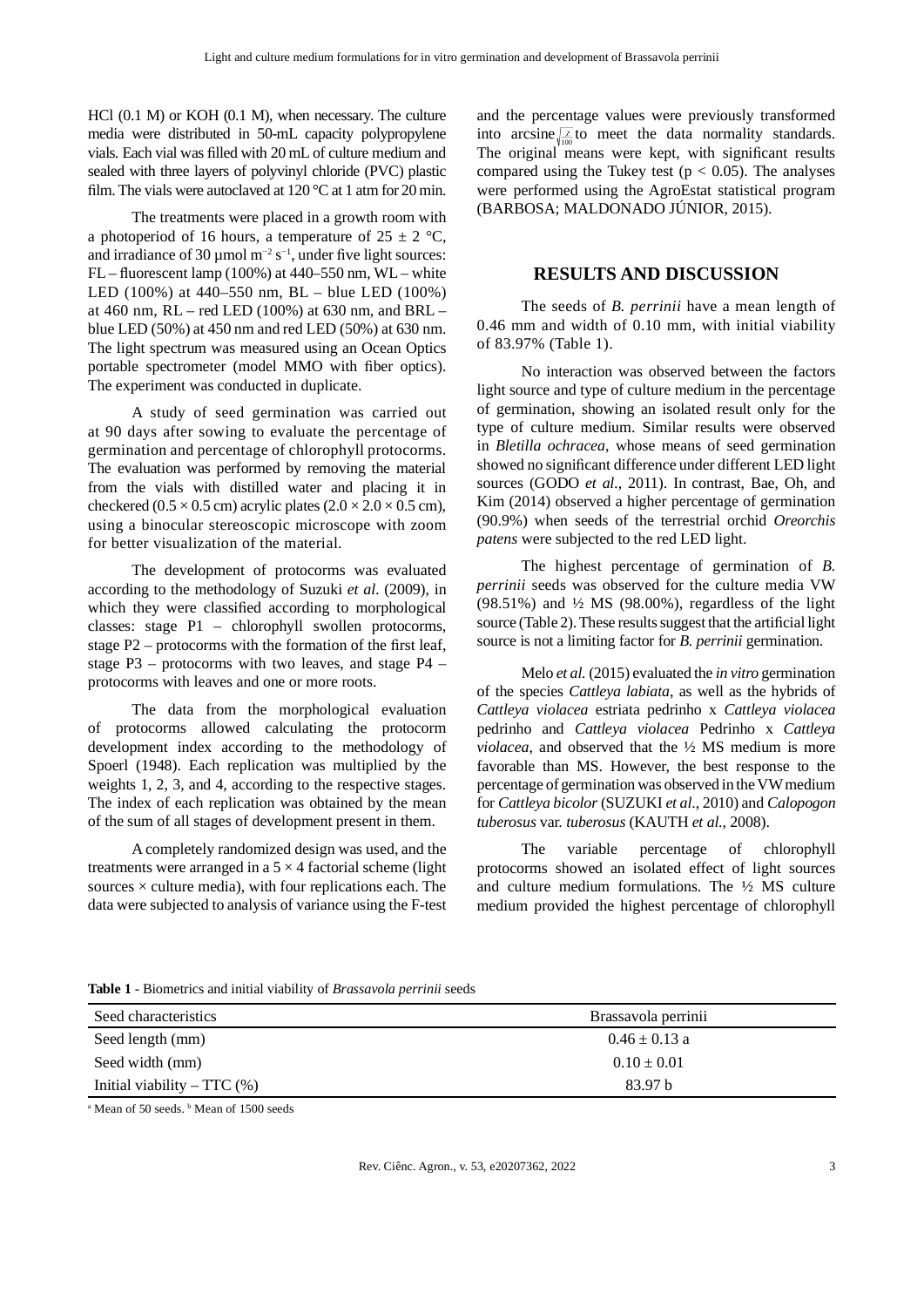HCl (0.1 M) or KOH (0.1 M), when necessary. The culture media were distributed in 50-mL capacity polypropylene vials. Each vial was filled with 20 mL of culture medium and sealed with three layers of polyvinyl chloride (PVC) plastic film. The vials were autoclaved at  $120^{\circ}$ C at 1 atm for 20 min.

The treatments were placed in a growth room with a photoperiod of 16 hours, a temperature of  $25 \pm 2$  °C, and irradiance of 30 µmol  $m^{-2} s^{-1}$ , under five light sources:  $FL$  – fluorescent lamp (100%) at 440–550 nm,  $WL$  – white LED (100%) at 440–550 nm, BL – blue LED (100%) at 460 nm, RL – red LED (100%) at 630 nm, and BRL – blue LED (50%) at 450 nm and red LED (50%) at 630 nm. The light spectrum was measured using an Ocean Optics portable spectrometer (model MMO with fiber optics). The experiment was conducted in duplicate.

A study of seed germination was carried out at 90 days after sowing to evaluate the percentage of germination and percentage of chlorophyll protocorms. The evaluation was performed by removing the material from the vials with distilled water and placing it in checkered (0.5  $\times$  0.5 cm) acrylic plates (2.0  $\times$  2.0  $\times$  0.5 cm), using a binocular stereoscopic microscope with zoom for better visualization of the material.

The development of protocorms was evaluated according to the methodology of Suzuki *et al.* (2009), in which they were classified according to morphological classes: stage P1 – chlorophyll swollen protocorms, stage  $P2$  – protocorms with the formation of the first leaf, stage P3 – protocorms with two leaves, and stage P4 – protocorms with leaves and one or more roots.

The data from the morphological evaluation of protocorms allowed calculating the protocorm development index according to the methodology of Spoerl (1948). Each replication was multiplied by the weights 1, 2, 3, and 4, according to the respective stages. The index of each replication was obtained by the mean of the sum of all stages of development present in them.

A completely randomized design was used, and the treatments were arranged in a  $5 \times 4$  factorial scheme (light sources  $\times$  culture media), with four replications each. The data were subjected to analysis of variance using the F-test

and the percentage values were previously transformed into arcsine $\sqrt{\frac{\chi}{100}}$  to meet the data normality standards. The original means were kept, with significant results compared using the Tukey test ( $p < 0.05$ ). The analyses were performed using the AgroEstat statistical program (BARBOSA; MALDONADO JÚNIOR, 2015).

#### **RESULTS AND DISCUSSION**

The seeds of *B. perrinii* have a mean length of 0.46 mm and width of 0.10 mm, with initial viability of 83.97% (Table 1).

No interaction was observed between the factors light source and type of culture medium in the percentage of germination, showing an isolated result only for the type of culture medium. Similar results were observed in *Bletilla ochracea*, whose means of seed germination showed no significant difference under different LED light sources (GODO *et al.*, 2011). In contrast, Bae, Oh, and Kim (2014) observed a higher percentage of germination (90.9%) when seeds of the terrestrial orchid *Oreorchis patens* were subjected to the red LED light.

The highest percentage of germination of *B. perrinii* seeds was observed for the culture media VW  $(98.51\%)$  and  $\frac{1}{2}$  MS  $(98.00\%)$ , regardless of the light source (Table 2). These results suggest that the artificial light source is not a limiting factor for *B. perrinii* germination.

Melo *et al.* (2015) evaluated the *in vitro* germination of the species *Cattleya labiata*, as well as the hybrids of *Cattleya violacea* estriata pedrinho x *Cattleya violacea* pedrinho and *Cattleya violacea* Pedrinho x *Cattleya violacea*, and observed that the ½ MS medium is more favorable than MS. However, the best response to the percentage of germination was observed in the VW medium for *Cattleya bicolor* (SUZUKI *et al*., 2010) and *Calopogon tuberosus* var. *tuberosus* (KAUTH *et al*., 2008).

The variable percentage of chlorophyll protocorms showed an isolated effect of light sources and culture medium formulations. The ½ MS culture medium provided the highest percentage of chlorophyll

**Table 1** - Biometrics and initial viability of *Brassavola perrinii* seeds

| Seed characteristics          | Brassavola perrinii |  |  |
|-------------------------------|---------------------|--|--|
| Seed length (mm)              | $0.46 \pm 0.13$ a   |  |  |
| Seed width (mm)               | $0.10 \pm 0.01$     |  |  |
| Initial viability – $TTC$ (%) | 83.97 b             |  |  |

<sup>a</sup> Mean of 50 seeds. <sup>b</sup> Mean of 1500 seeds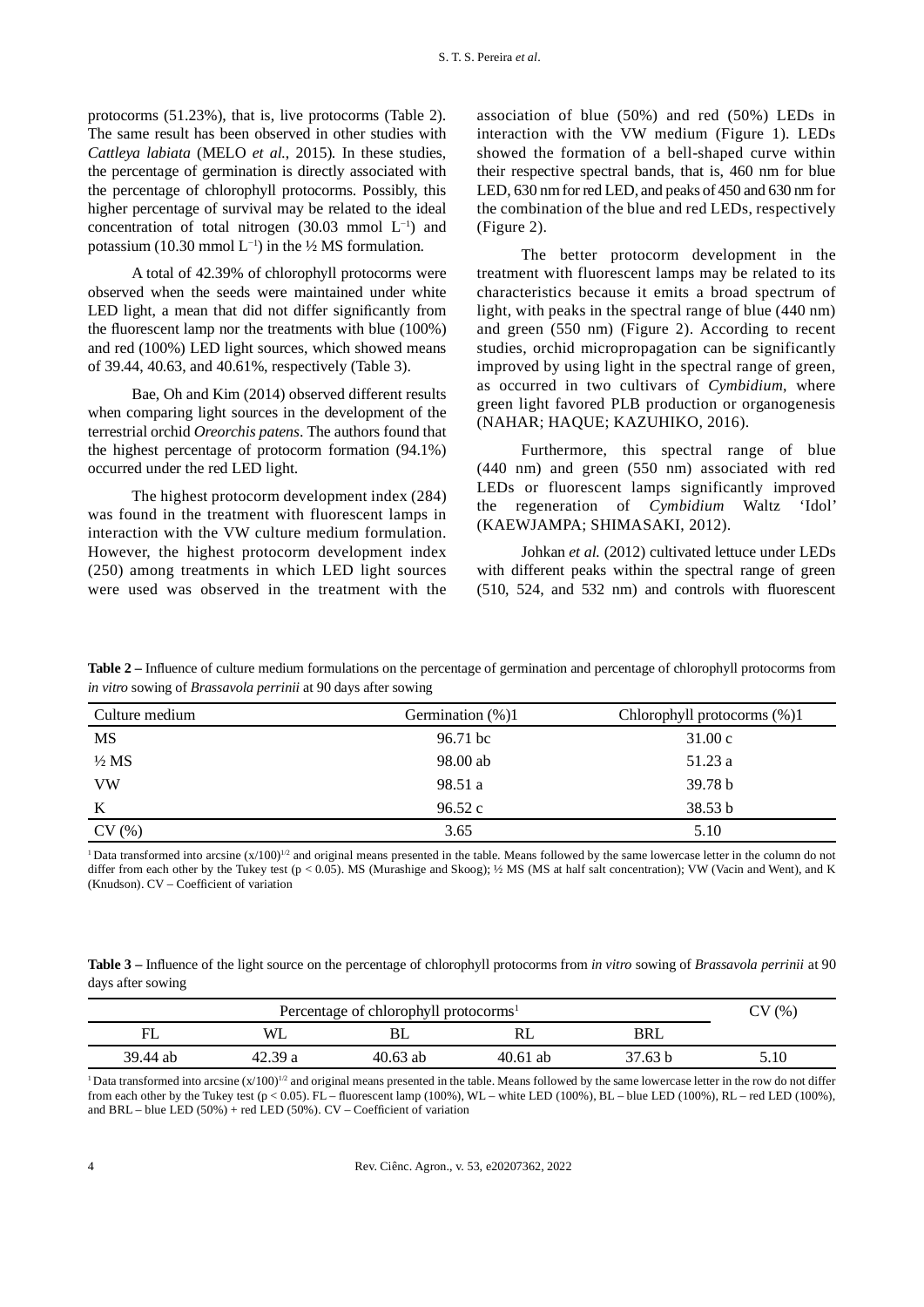protocorms (51.23%), that is, live protocorms (Table 2). The same result has been observed in other studies with *Cattleya labiata* (MELO *et al.*, 2015). In these studies, the percentage of germination is directly associated with the percentage of chlorophyll protocorms. Possibly, this higher percentage of survival may be related to the ideal concentration of total nitrogen  $(30.03 \text{ mmol } L^{-1})$  and potassium (10.30 mmol L<sup>-1</sup>) in the 1/2 MS formulation.

A total of 42.39% of chlorophyll protocorms were observed when the seeds were maintained under white LED light, a mean that did not differ significantly from the fluorescent lamp nor the treatments with blue  $(100\%)$ and red (100%) LED light sources, which showed means of 39.44, 40.63, and 40.61%, respectively (Table 3).

Bae, Oh and Kim (2014) observed different results when comparing light sources in the development of the terrestrial orchid *Oreorchis patens*. The authors found that the highest percentage of protocorm formation (94.1%) occurred under the red LED light.

The highest protocorm development index (284) was found in the treatment with fluorescent lamps in interaction with the VW culture medium formulation. However, the highest protocorm development index (250) among treatments in which LED light sources were used was observed in the treatment with the

association of blue (50%) and red (50%) LEDs in interaction with the VW medium (Figure 1). LEDs showed the formation of a bell-shaped curve within their respective spectral bands, that is, 460 nm for blue LED, 630 nm for red LED, and peaks of 450 and 630 nm for the combination of the blue and red LEDs, respectively (Figure 2).

The better protocorm development in the treatment with fluorescent lamps may be related to its characteristics because it emits a broad spectrum of light, with peaks in the spectral range of blue (440 nm) and green (550 nm) (Figure 2). According to recent studies, orchid micropropagation can be significantly improved by using light in the spectral range of green, as occurred in two cultivars of *Cymbidium*, where green light favored PLB production or organogenesis (NAHAR; HAQUE; KAZUHIKO, 2016).

Furthermore, this spectral range of blue (440 nm) and green (550 nm) associated with red LEDs or fluorescent lamps significantly improved the regeneration of *Cymbidium* Waltz 'Idol' (KAEWJAMPA; SHIMASAKI, 2012).

Johkan *et al.* (2012) cultivated lettuce under LEDs with different peaks within the spectral range of green  $(510, 524, and 532 nm)$  and controls with fluorescent

| Table 2 – Influence of culture medium formulations on the percentage of germination and percentage of chlorophyll protocorms from |  |
|-----------------------------------------------------------------------------------------------------------------------------------|--|
| in vitro sowing of Brassavola perrinii at 90 days after sowing                                                                    |  |

| Culture medium   | Germination $(\%)$ 1 | Chlorophyll protocorms $(\%)$ 1 |  |
|------------------|----------------------|---------------------------------|--|
| <b>MS</b>        | 96.71 bc             | 31.00c                          |  |
| $\frac{1}{2} MS$ | 98.00 ab             | 51.23 a                         |  |
| <b>VW</b>        | 98.51 a              | 39.78 b                         |  |
| K                | 96.52c               | 38.53 b                         |  |
| CV(%)            | 3.65                 | 5.10                            |  |

<sup>1</sup> Data transformed into arcsine (x/100)<sup>1/2</sup> and original means presented in the table. Means followed by the same lowercase letter in the column do not differ from each other by the Tukey test (p < 0.05). MS (Murashige and Skoog); 1/2 MS (MS at half salt concentration); VW (Vacin and Went), and K (Knudson). CV – Coefficient of variation

**Table 3** – Influence of the light source on the percentage of chlorophyll protocorms from *in vitro* sowing of *Brassavola perrinii* at 90 days after sowing

| Percentage of chlorophyll protocorms <sup>1</sup> |         |          |            |         | $\mathcal{U}$<br>(96) |
|---------------------------------------------------|---------|----------|------------|---------|-----------------------|
|                                                   | WL.     |          | rl         | BRL     |                       |
| 39.44 ab                                          | 42.39 a | 40.63 ab | $40.61$ ab | 37.63 b | 5.10                  |

<sup>1</sup>Data transformed into arcsine  $(x/100)^{1/2}$  and original means presented in the table. Means followed by the same lowercase letter in the row do not differ from each other by the Tukey test  $(p < 0.05)$ . FL – fluorescent lamp (100%), WL – white LED (100%), BL – blue LED (100%), RL – red LED (100%), and BRL – blue LED  $(50\%)$  + red LED  $(50\%)$ . CV – Coefficient of variation

4 Rev. Ciênc. Agron., v. 53, e20207362, 2022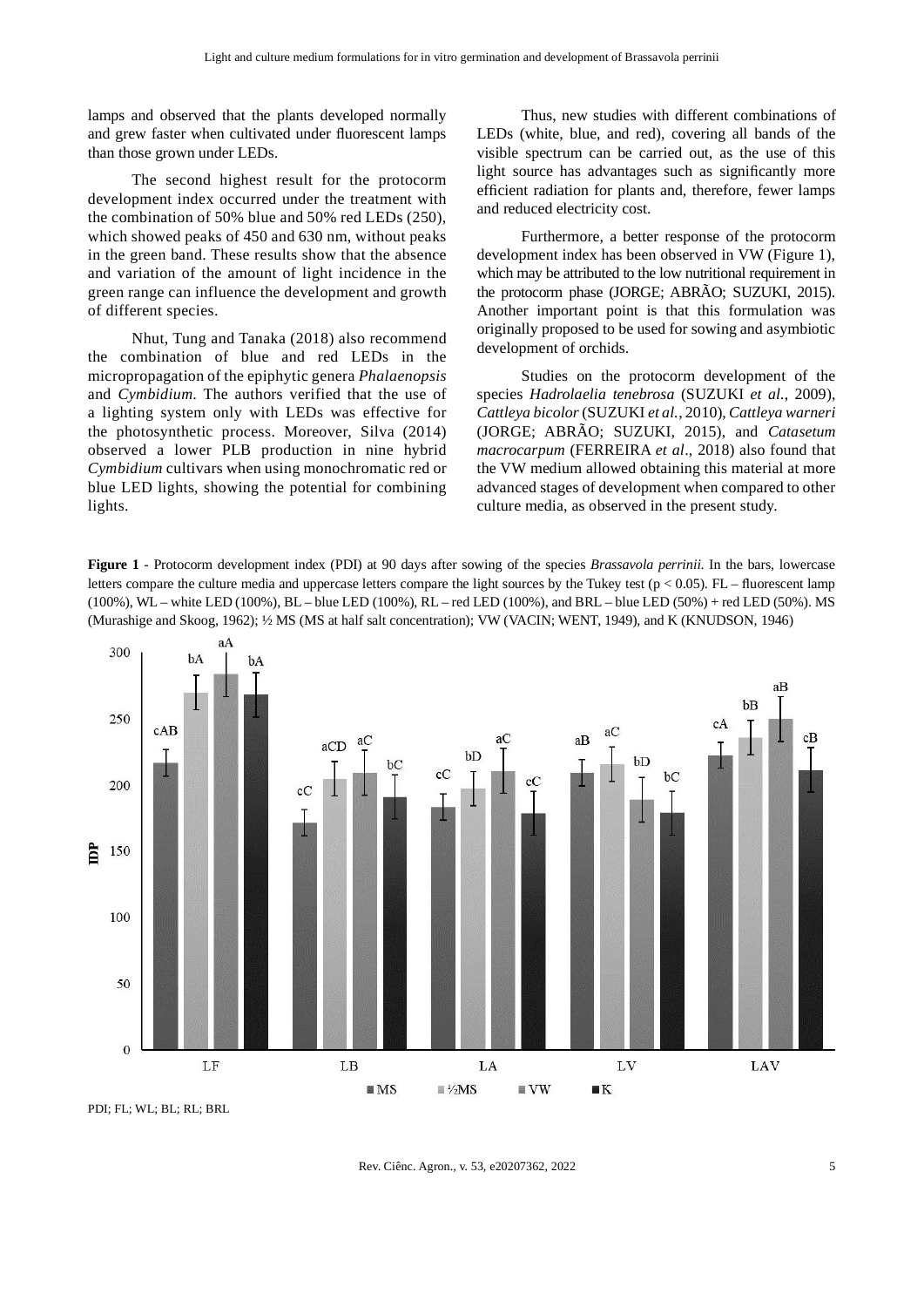lamps and observed that the plants developed normally and grew faster when cultivated under fluorescent lamps than those grown under LEDs.

The second highest result for the protocorm development index occurred under the treatment with the combination of 50% blue and 50% red LEDs (250), which showed peaks of 450 and 630 nm, without peaks in the green band. These results show that the absence and variation of the amount of light incidence in the green range can influence the development and growth of different species.

Nhut, Tung and Tanaka (2018) also recommend the combination of blue and red LEDs in the micropropagation of the epiphytic genera *Phalaenopsis* and *Cymbidium*. The authors verified that the use of a lighting system only with LEDs was effective for the photosynthetic process. Moreover, Silva (2014) observed a lower PLB production in nine hybrid *Cymbidium* cultivars when using monochromatic red or blue LED lights, showing the potential for combining lights.

Thus, new studies with different combinations of LEDs (white, blue, and red), covering all bands of the visible spectrum can be carried out, as the use of this light source has advantages such as significantly more efficient radiation for plants and, therefore, fewer lamps and reduced electricity cost.

Furthermore, a better response of the protocorm development index has been observed in VW (Figure 1), which may be attributed to the low nutritional requirement in the protocorm phase (JORGE; ABRÃO; SUZUKI, 2015). Another important point is that this formulation was originally proposed to be used for sowing and asymbiotic development of orchids.

Studies on the protocorm development of the species *Hadrolaelia tenebrosa* (SUZUKI *et al.*, 2009), *Cattleya bicolor* (SUZUKI *et al.*, 2010), *Cattleya warneri* (JORGE; ABRÃO; SUZUKI, 2015), and *Catasetum macrocarpum* (FERREIRA *et al*., 2018) also found that the VW medium allowed obtaining this material at more advanced stages of development when compared to other culture media, as observed in the present study.

**Figure 1** - Protocorm development index (PDI) at 90 days after sowing of the species *Brassavola perrinii*. In the bars, lowercase letters compare the culture media and uppercase letters compare the light sources by the Tukey test ( $p < 0.05$ ). FL – fluorescent lamp (100%), WL – white LED (100%), BL – blue LED (100%), RL – red LED (100%), and BRL – blue LED (50%) + red LED (50%). MS (Murashige and Skoog, 1962); ½ MS (MS at half salt concentration); VW (VACIN; WENT, 1949), and K (KNUDSON, 1946)



PDI; FL; WL; BL; RL; BRL

Rev. Ciênc. Agron., v. 53, e20207362, 2022 5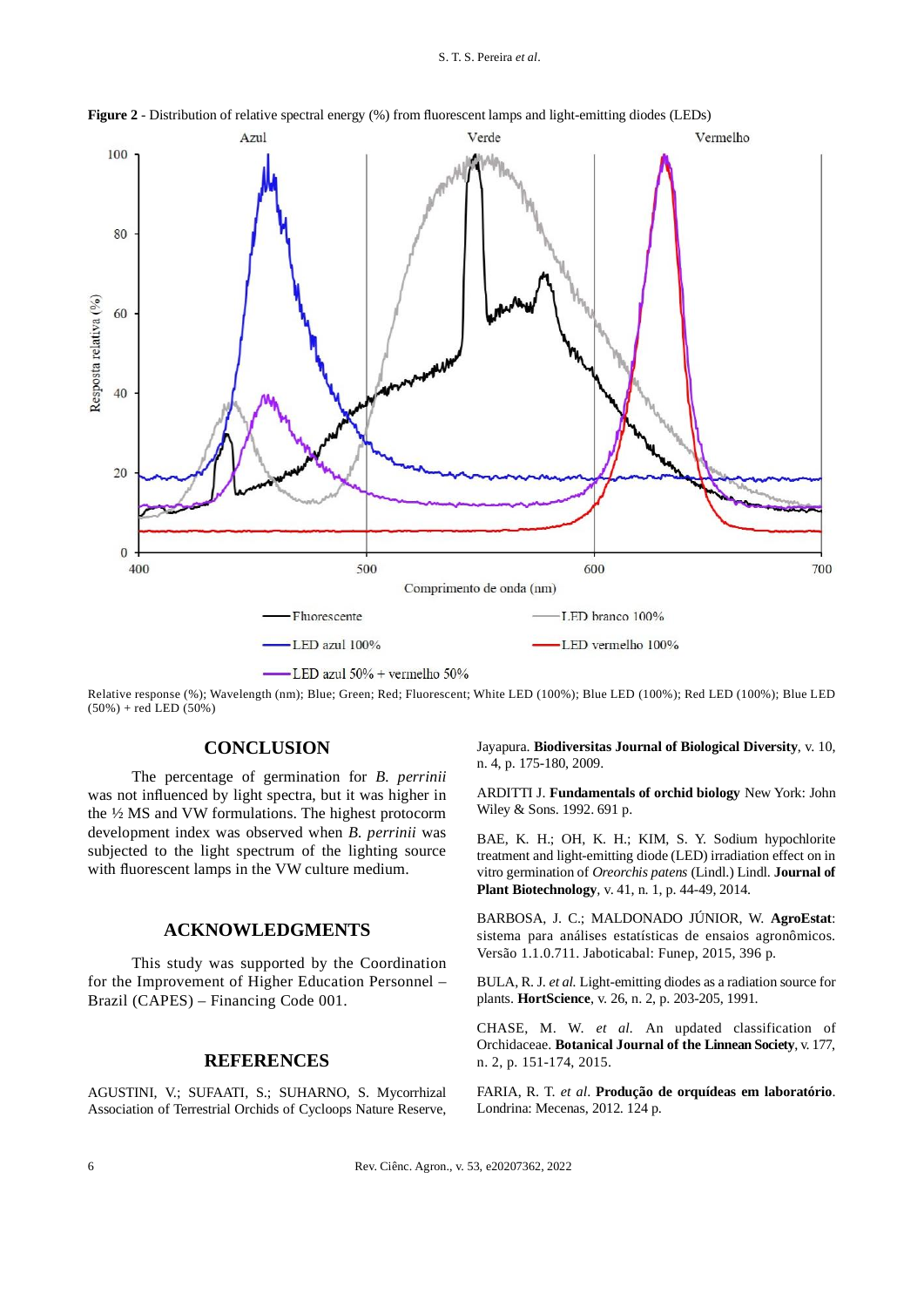#### S. T. S. Pereira *et al*.



**Figure 2** - Distribution of relative spectral energy (%) from fluorescent lamps and light-emitting diodes (LEDs)

Relative response (%); Wavelength (nm); Blue; Green; Red; Fluorescent; White LED (100%); Blue LED (100%); Red LED (100%); Blue LED  $(50\%)$  + red LED  $(50\%)$ 

## **CONCLUSION**

The percentage of germination for *B. perrinii* was not influenced by light spectra, but it was higher in the ½ MS and VW formulations. The highest protocorm development index was observed when *B. perrinii* was subjected to the light spectrum of the lighting source with fluorescent lamps in the VW culture medium.

#### **ACKNOWLEDGMENTS**

This study was supported by the Coordination for the Improvement of Higher Education Personnel – Brazil (CAPES) – Financing Code 001.

## **REFERENCES**

AGUSTINI, V.; SUFAATI, S.; SUHARNO, S. Mycorrhizal Association of Terrestrial Orchids of Cycloops Nature Reserve, Jayapura. **Biodiversitas Journal of Biological Diversity**, v. 10, n. 4, p. 175-180, 2009.

ARDITTI J. **Fundamentals of orchid biology** New York: John Wiley & Sons. 1992. 691 p.

BAE, K. H.; OH, K. H.; KIM, S. Y. Sodium hypochlorite treatment and light-emitting diode (LED) irradiation effect on in vitro germination of *Oreorchis patens* (Lindl.) Lindl. **Journal of Plant Biotechnology***,* v. 41, n. 1, p. 44-49, 2014.

BARBOSA, J. C.; MALDONADO JÚNIOR, W. **AgroEstat**: sistema para análises estatísticas de ensaios agronômicos. Versão 1.1.0.711. Jaboticabal: Funep, 2015, 396 p.

BULA, R. J. *et al.* Light-emitting diodes as a radiation source for plants. **HortScience**, v. 26, n. 2, p. 203-205, 1991.

CHASE, M. W. *et al.* An updated classification of Orchidaceae. **Botanical Journal of the Linnean Society**, v. 177, n. 2, p. 151-174, 2015.

FARIA, R. T. *et al*. **Produção de orquídeas em laboratório**. Londrina: Mecenas, 2012. 124 p.